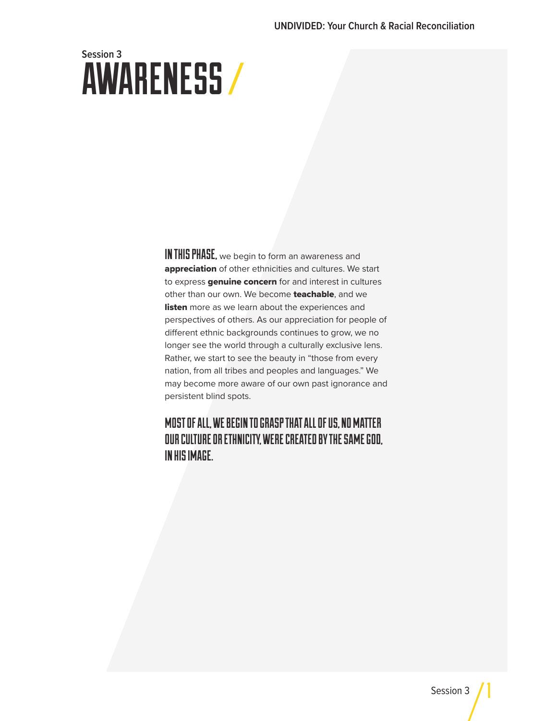# AWARENESS **Session 3**

IN THIS PHASE, we begin to form an awareness and appreciation of other ethnicities and cultures. We start to express **genuine concern** for and interest in cultures other than our own. We become teachable, and we listen more as we learn about the experiences and perspectives of others. As our appreciation for people of different ethnic backgrounds continues to grow, we no longer see the world through a culturally exclusive lens. Rather, we start to see the beauty in "those from every nation, from all tribes and peoples and languages." We may become more aware of our own past ignorance and persistent blind spots.

### MOST OF ALL, WE BEGIN TO GRASP THAT ALL OF US, NO MATTER OUR CULTURE OR ETHNICITY, WERE CREATED BY THE SAME GOD, IN HIS IMAGE.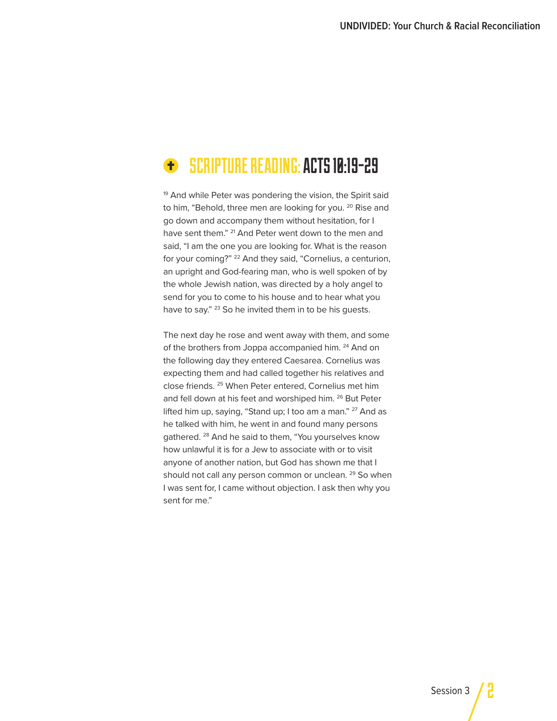#### SCRIPTURE READING: ACTS 10:19-29 Ð

<sup>19</sup> And while Peter was pondering the vision, the Spirit said to him, "Behold, three men are looking for you.<sup>20</sup> Rise and go down and accompany them without hesitation, for I have sent them." <sup>21</sup> And Peter went down to the men and said, "I am the one you are looking for. What is the reason for your coming?" 22 And they said, "Cornelius, a centurion, an upright and God-fearing man, who is well spoken of by the whole Jewish nation, was directed by a holy angel to send for you to come to his house and to hear what you have to say." <sup>23</sup> So he invited them in to be his guests.

The next day he rose and went away with them, and some of the brothers from Joppa accompanied him. <sup>24</sup> And on the following day they entered Caesarea. Cornelius was expecting them and had called together his relatives and close friends. 25 When Peter entered, Cornelius met him and fell down at his feet and worshiped him. <sup>26</sup> But Peter lifted him up, saying, "Stand up; I too am a man." <sup>27</sup> And as he talked with him, he went in and found many persons gathered. 28 And he said to them, "You yourselves know how unlawful it is for a Jew to associate with or to visit anyone of another nation, but God has shown me that I should not call any person common or unclean. <sup>29</sup> So when I was sent for, I came without objection. I ask then why you sent for me."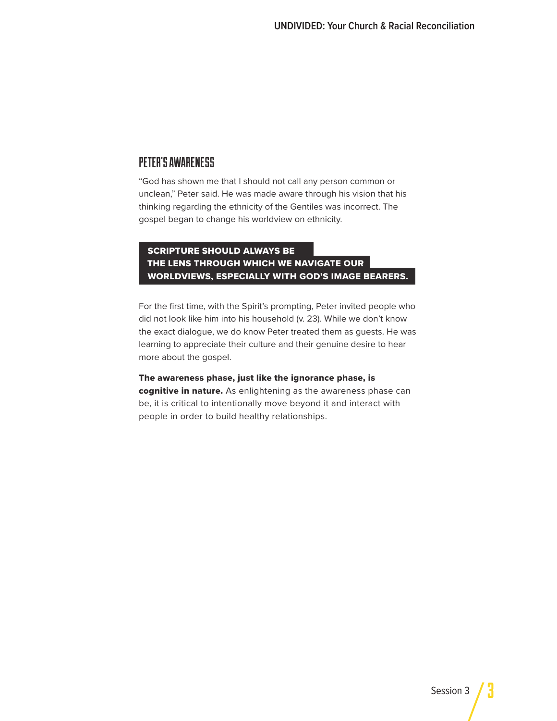### PETER'S AWARENESS

"God has shown me that I should not call any person common or unclean," Peter said. He was made aware through his vision that his thinking regarding the ethnicity of the Gentiles was incorrect. The gospel began to change his worldview on ethnicity.

#### SCRIPTURE SHOULD ALWAYS BE THE LENS THROUGH WHICH WE NAVIGATE OUR WORLDVIEWS, ESPECIALLY WITH GOD'S IMAGE BEARERS.

For the first time, with the Spirit's prompting, Peter invited people who did not look like him into his household (v. 23). While we don't know the exact dialogue, we do know Peter treated them as guests. He was learning to appreciate their culture and their genuine desire to hear more about the gospel.

The awareness phase, just like the ignorance phase, is cognitive in nature. As enlightening as the awareness phase can be, it is critical to intentionally move beyond it and interact with people in order to build healthy relationships.